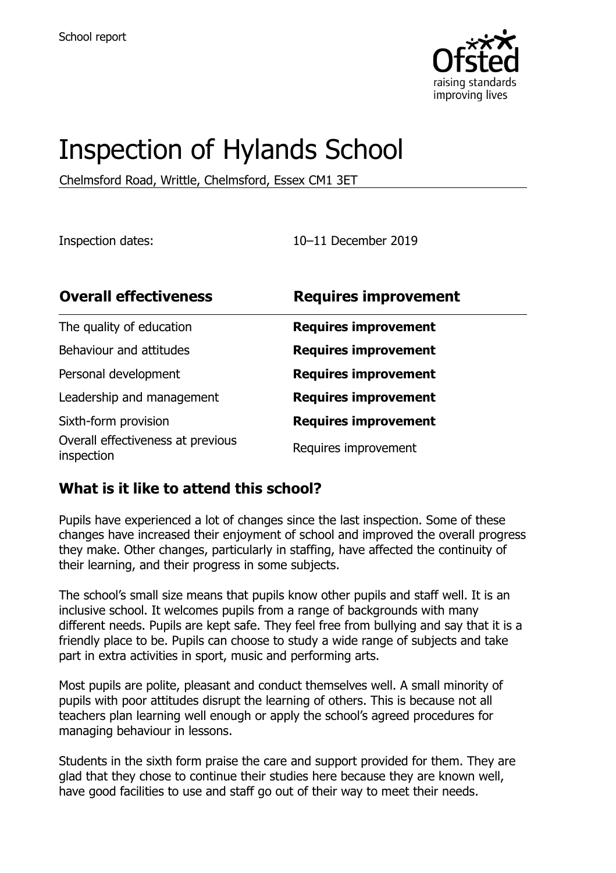

# Inspection of Hylands School

Chelmsford Road, Writtle, Chelmsford, Essex CM1 3ET

Inspection dates: 10–11 December 2019

| <b>Overall effectiveness</b>                    | <b>Requires improvement</b> |
|-------------------------------------------------|-----------------------------|
| The quality of education                        | <b>Requires improvement</b> |
| Behaviour and attitudes                         | <b>Requires improvement</b> |
| Personal development                            | <b>Requires improvement</b> |
| Leadership and management                       | <b>Requires improvement</b> |
| Sixth-form provision                            | <b>Requires improvement</b> |
| Overall effectiveness at previous<br>inspection | Requires improvement        |

#### **What is it like to attend this school?**

Pupils have experienced a lot of changes since the last inspection. Some of these changes have increased their enjoyment of school and improved the overall progress they make. Other changes, particularly in staffing, have affected the continuity of their learning, and their progress in some subjects.

The school's small size means that pupils know other pupils and staff well. It is an inclusive school. It welcomes pupils from a range of backgrounds with many different needs. Pupils are kept safe. They feel free from bullying and say that it is a friendly place to be. Pupils can choose to study a wide range of subjects and take part in extra activities in sport, music and performing arts.

Most pupils are polite, pleasant and conduct themselves well. A small minority of pupils with poor attitudes disrupt the learning of others. This is because not all teachers plan learning well enough or apply the school's agreed procedures for managing behaviour in lessons.

Students in the sixth form praise the care and support provided for them. They are glad that they chose to continue their studies here because they are known well, have good facilities to use and staff go out of their way to meet their needs.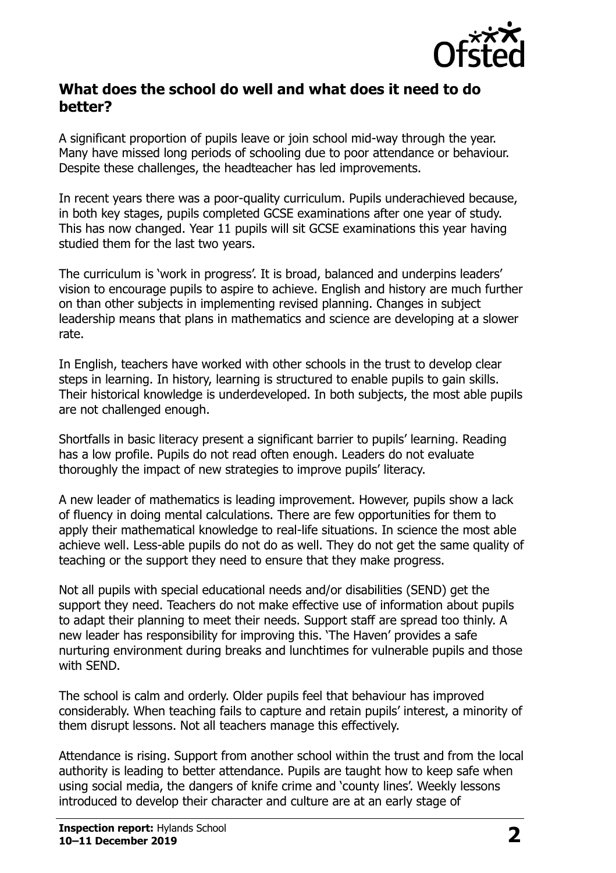

#### **What does the school do well and what does it need to do better?**

A significant proportion of pupils leave or join school mid-way through the year. Many have missed long periods of schooling due to poor attendance or behaviour. Despite these challenges, the headteacher has led improvements.

In recent years there was a poor-quality curriculum. Pupils underachieved because, in both key stages, pupils completed GCSE examinations after one year of study. This has now changed. Year 11 pupils will sit GCSE examinations this year having studied them for the last two years.

The curriculum is 'work in progress'. It is broad, balanced and underpins leaders' vision to encourage pupils to aspire to achieve. English and history are much further on than other subjects in implementing revised planning. Changes in subject leadership means that plans in mathematics and science are developing at a slower rate.

In English, teachers have worked with other schools in the trust to develop clear steps in learning. In history, learning is structured to enable pupils to gain skills. Their historical knowledge is underdeveloped. In both subjects, the most able pupils are not challenged enough.

Shortfalls in basic literacy present a significant barrier to pupils' learning. Reading has a low profile. Pupils do not read often enough. Leaders do not evaluate thoroughly the impact of new strategies to improve pupils' literacy.

A new leader of mathematics is leading improvement. However, pupils show a lack of fluency in doing mental calculations. There are few opportunities for them to apply their mathematical knowledge to real-life situations. In science the most able achieve well. Less-able pupils do not do as well. They do not get the same quality of teaching or the support they need to ensure that they make progress.

Not all pupils with special educational needs and/or disabilities (SEND) get the support they need. Teachers do not make effective use of information about pupils to adapt their planning to meet their needs. Support staff are spread too thinly. A new leader has responsibility for improving this. 'The Haven' provides a safe nurturing environment during breaks and lunchtimes for vulnerable pupils and those with SEND.

The school is calm and orderly. Older pupils feel that behaviour has improved considerably. When teaching fails to capture and retain pupils' interest, a minority of them disrupt lessons. Not all teachers manage this effectively.

Attendance is rising. Support from another school within the trust and from the local authority is leading to better attendance. Pupils are taught how to keep safe when using social media, the dangers of knife crime and 'county lines'. Weekly lessons introduced to develop their character and culture are at an early stage of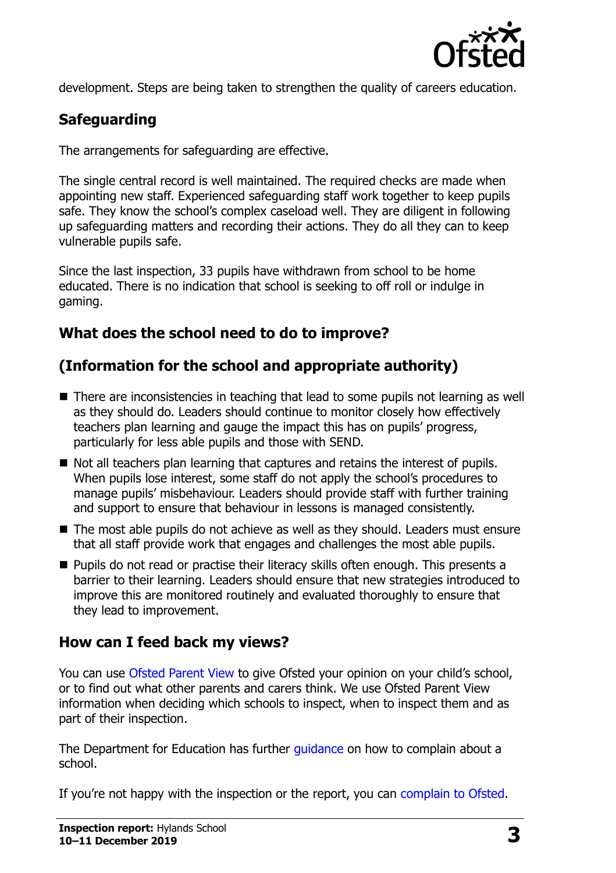

development. Steps are being taken to strengthen the quality of careers education.

# **Safeguarding**

The arrangements for safeguarding are effective.

The single central record is well maintained. The required checks are made when appointing new staff. Experienced safeguarding staff work together to keep pupils safe. They know the school's complex caseload well. They are diligent in following up safeguarding matters and recording their actions. They do all they can to keep vulnerable pupils safe.

Since the last inspection, 33 pupils have withdrawn from school to be home educated. There is no indication that school is seeking to off roll or indulge in gaming.

## **What does the school need to do to improve?**

## **(Information for the school and appropriate authority)**

- There are inconsistencies in teaching that lead to some pupils not learning as well as they should do. Leaders should continue to monitor closely how effectively teachers plan learning and gauge the impact this has on pupils' progress, particularly for less able pupils and those with SEND.
- Not all teachers plan learning that captures and retains the interest of pupils. When pupils lose interest, some staff do not apply the school's procedures to manage pupils' misbehaviour. Leaders should provide staff with further training and support to ensure that behaviour in lessons is managed consistently.
- The most able pupils do not achieve as well as they should. Leaders must ensure that all staff provide work that engages and challenges the most able pupils.
- **Pupils do not read or practise their literacy skills often enough. This presents a** barrier to their learning. Leaders should ensure that new strategies introduced to improve this are monitored routinely and evaluated thoroughly to ensure that they lead to improvement.

#### **How can I feed back my views?**

You can use [Ofsted Parent View](http://parentview.ofsted.gov.uk/) to give Ofsted your opinion on your child's school, or to find out what other parents and carers think. We use Ofsted Parent View information when deciding which schools to inspect, when to inspect them and as part of their inspection.

The Department for Education has further quidance on how to complain about a school.

If you're not happy with the inspection or the report, you can [complain to Ofsted.](http://www.gov.uk/complain-ofsted-report)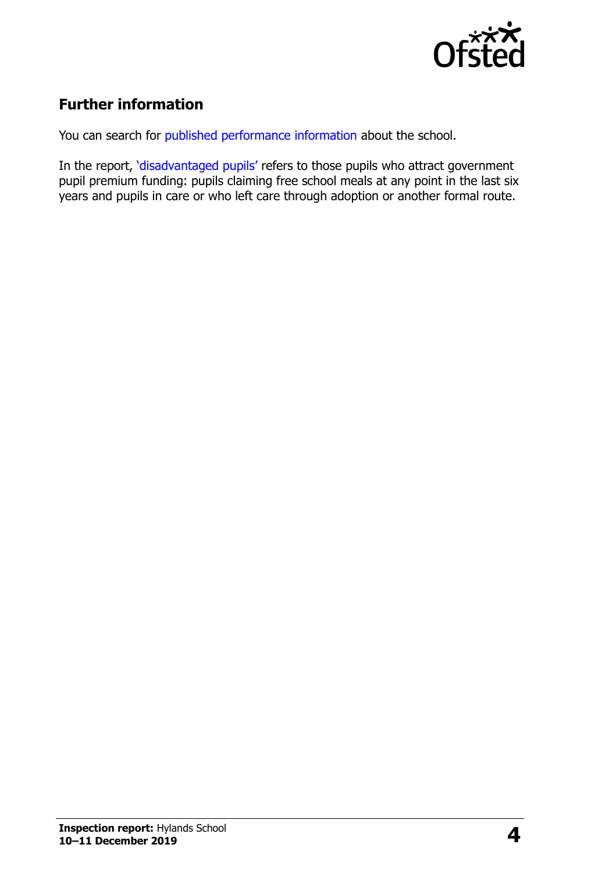

## **Further information**

You can search for [published performance information](http://www.compare-school-performance.service.gov.uk/) about the school.

In the report, '[disadvantaged pupils](http://www.gov.uk/guidance/pupil-premium-information-for-schools-and-alternative-provision-settings)' refers to those pupils who attract government pupil premium funding: pupils claiming free school meals at any point in the last six years and pupils in care or who left care through adoption or another formal route.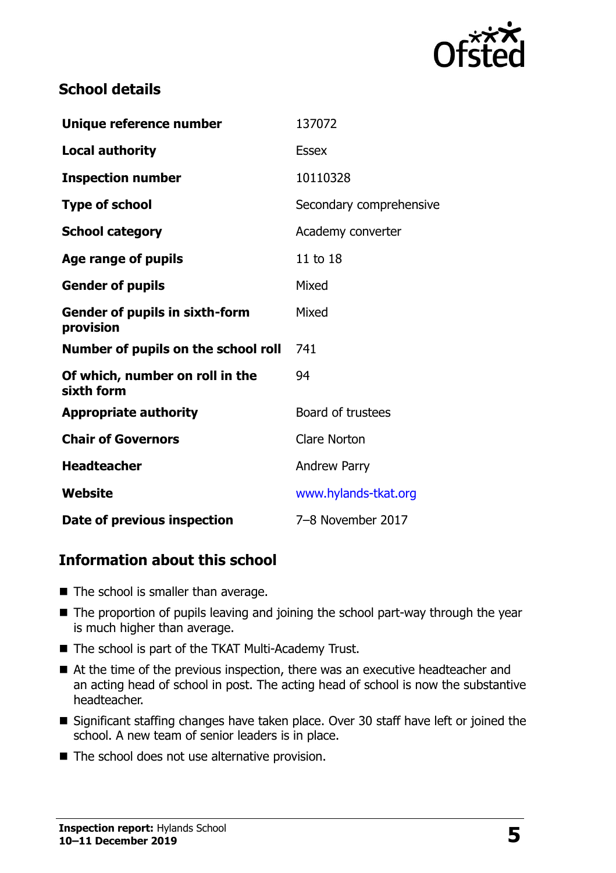

#### **School details**

| Unique reference number                            | 137072                  |
|----------------------------------------------------|-------------------------|
| <b>Local authority</b>                             | <b>Essex</b>            |
| <b>Inspection number</b>                           | 10110328                |
| <b>Type of school</b>                              | Secondary comprehensive |
| <b>School category</b>                             | Academy converter       |
| Age range of pupils                                | 11 to 18                |
| <b>Gender of pupils</b>                            | Mixed                   |
| <b>Gender of pupils in sixth-form</b><br>provision | Mixed                   |
| Number of pupils on the school roll                | 741                     |
| Of which, number on roll in the<br>sixth form      | 94                      |
| <b>Appropriate authority</b>                       | Board of trustees       |
| <b>Chair of Governors</b>                          | <b>Clare Norton</b>     |
| <b>Headteacher</b>                                 | <b>Andrew Parry</b>     |
| Website                                            | www.hylands-tkat.org    |
| Date of previous inspection                        | 7-8 November 2017       |

#### **Information about this school**

- $\blacksquare$  The school is smaller than average.
- The proportion of pupils leaving and joining the school part-way through the year is much higher than average.
- The school is part of the TKAT Multi-Academy Trust.
- At the time of the previous inspection, there was an executive headteacher and an acting head of school in post. The acting head of school is now the substantive headteacher.
- Significant staffing changes have taken place. Over 30 staff have left or joined the school. A new team of senior leaders is in place.
- $\blacksquare$  The school does not use alternative provision.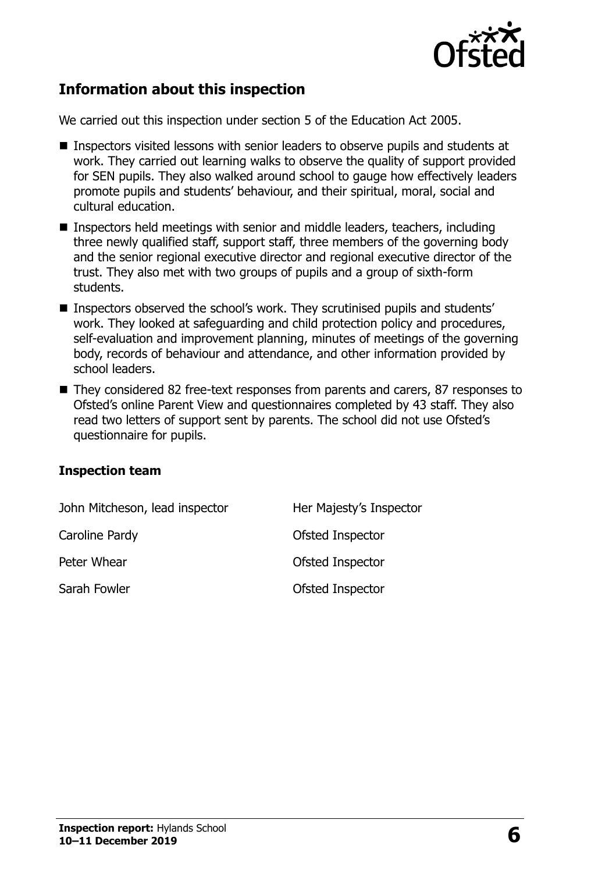

#### **Information about this inspection**

We carried out this inspection under section 5 of the Education Act 2005.

- Inspectors visited lessons with senior leaders to observe pupils and students at work. They carried out learning walks to observe the quality of support provided for SEN pupils. They also walked around school to gauge how effectively leaders promote pupils and students' behaviour, and their spiritual, moral, social and cultural education.
- Inspectors held meetings with senior and middle leaders, teachers, including three newly qualified staff, support staff, three members of the governing body and the senior regional executive director and regional executive director of the trust. They also met with two groups of pupils and a group of sixth-form students.
- Inspectors observed the school's work. They scrutinised pupils and students' work. They looked at safeguarding and child protection policy and procedures, self-evaluation and improvement planning, minutes of meetings of the governing body, records of behaviour and attendance, and other information provided by school leaders.
- They considered 82 free-text responses from parents and carers, 87 responses to Ofsted's online Parent View and questionnaires completed by 43 staff. They also read two letters of support sent by parents. The school did not use Ofsted's questionnaire for pupils.

#### **Inspection team**

| John Mitcheson, lead inspector | Her Majesty's Inspector |
|--------------------------------|-------------------------|
| Caroline Pardy                 | Ofsted Inspector        |
| Peter Whear                    | Ofsted Inspector        |
| Sarah Fowler                   | Ofsted Inspector        |